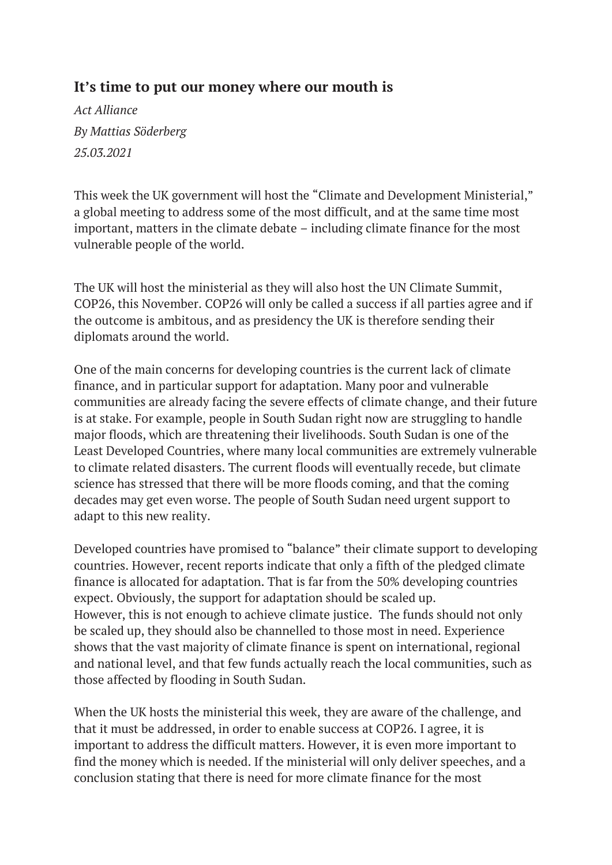## **It's time to put our money where our mouth is**

*Act Alliance By Mattias Söderberg 25.03.2021*

This week the UK government will host the "Climate and Development Ministerial," a global meeting to address some of the most difficult, and at the same time most important, matters in the climate debate – including climate finance for the most vulnerable people of the world.

The UK will host the ministerial as they will also host the UN Climate Summit, COP26, this November. COP26 will only be called a success if all parties agree and if the outcome is ambitous, and as presidency the UK is therefore sending their diplomats around the world.

One of the main concerns for developing countries is the current lack of climate finance, and in particular support for adaptation. Many poor and vulnerable communities are already facing the severe effects of climate change, and their future is at stake. For example, people in South Sudan right now are struggling to handle major floods, which are threatening their livelihoods. South Sudan is one of the Least Developed Countries, where many local communities are extremely vulnerable to climate related disasters. The current floods will eventually recede, but climate science has stressed that there will be more floods coming, and that the coming decades may get even worse. The people of South Sudan need urgent support to adapt to this new reality.

Developed countries have promised to "balance" their climate support to developing countries. However, recent reports indicate that only a fifth of the pledged climate finance is allocated for adaptation. That is far from the 50% developing countries expect. Obviously, the support for adaptation should be scaled up. However, this is not enough to achieve climate justice. The funds should not only be scaled up, they should also be channelled to those most in need. Experience shows that the vast majority of climate finance is spent on international, regional and national level, and that few funds actually reach the local communities, such as those affected by flooding in South Sudan.

When the UK hosts the ministerial this week, they are aware of the challenge, and that it must be addressed, in order to enable success at COP26. I agree, it is important to address the difficult matters. However, it is even more important to find the money which is needed. If the ministerial will only deliver speeches, and a conclusion stating that there is need for more climate finance for the most